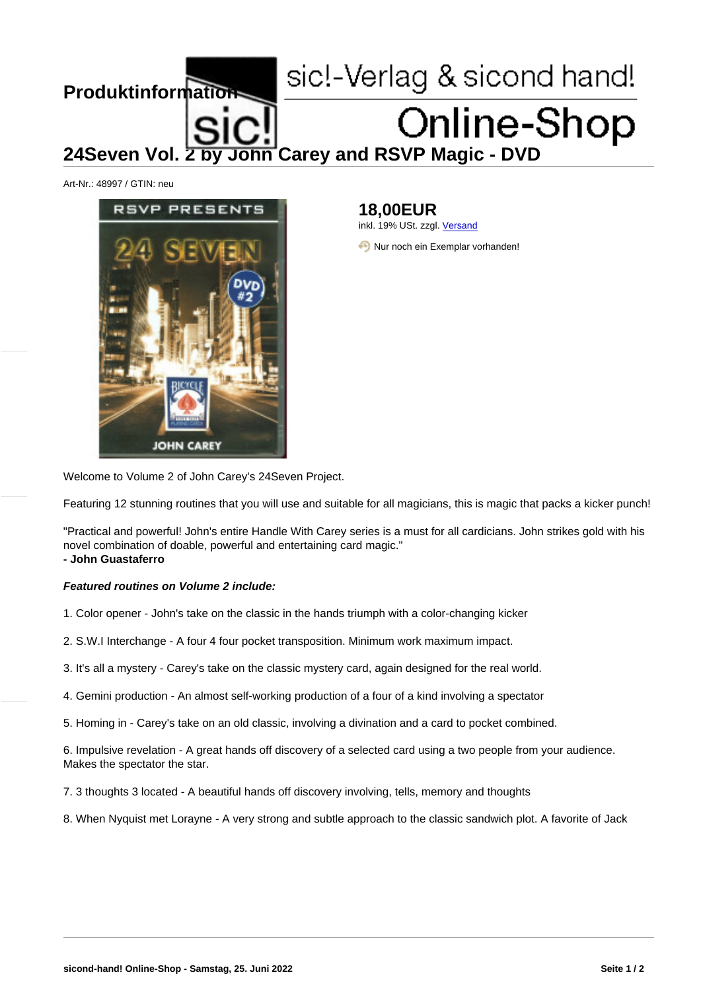## 24Seven Vol. 2 by John Carey and RSVP Magic - DVD

Art-Nr.: 48997 / GTIN: neu

## 18,00EUR inkl. 19% USt. zzgl. Versand

Nur noch ein Exemplar vorhanden!

Welcome to Volume 2 of John Carey's 24Seven Project.

Featuring 12 stunning routines that you will use and suitable for all magicians, this is magic that packs a kicker punch!

"Practical and powerful! John's entire Handle With Carey series is a must for all cardicians. John strikes gold with his novel combination of doable, powerful and entertaining card magic." - John Guastaferro

Featured routines on Volume 2 include:

1. Color opener - John's take on the classic in the hands triumph with a color-changing kicker

2. S.W.I Interchange - A four 4 four pocket transposition. Minimum work maximum impact.

3. It's all a mystery - Carey's take on the classic mystery card, again designed for the real world.

4. Gemini production - An almost self-working production of a four of a kind involving a spectator

5. Homing in - Carey's take on an old classic, involving a divination and a card to pocket combined.

6. Impulsive revelation - A great hands off discovery of a selected card using a two people from your audience. Makes the spectator the star.

7. 3 thoughts 3 located - A beautiful hands off discovery involving, tells, memory and thoughts

8. When Nyquist met Lorayne - A very strong and subtle approach to the classic sandwich plot. A favorite of Jack